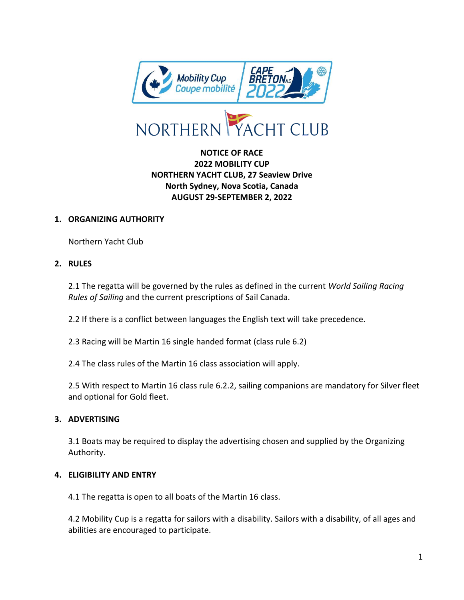

## **NOTICE OF RACE 2022 MOBILITY CUP NORTHERN YACHT CLUB, 27 Seaview Drive North Sydney, Nova Scotia, Canada AUGUST 29-SEPTEMBER 2, 2022**

#### **1. ORGANIZING AUTHORITY**

Northern Yacht Club

#### **2. RULES**

2.1 The regatta will be governed by the rules as defined in the current *World Sailing Racing Rules of Sailing* and the current prescriptions of Sail Canada.

2.2 If there is a conflict between languages the English text will take precedence.

2.3 Racing will be Martin 16 single handed format (class rule 6.2)

2.4 The class rules of the Martin 16 class association will apply.

2.5 With respect to Martin 16 class rule 6.2.2, sailing companions are mandatory for Silver fleet and optional for Gold fleet.

### **3. ADVERTISING**

3.1 Boats may be required to display the advertising chosen and supplied by the Organizing Authority.

#### **4. ELIGIBILITY AND ENTRY**

4.1 The regatta is open to all boats of the Martin 16 class.

4.2 Mobility Cup is a regatta for sailors with a disability. Sailors with a disability, of all ages and abilities are encouraged to participate.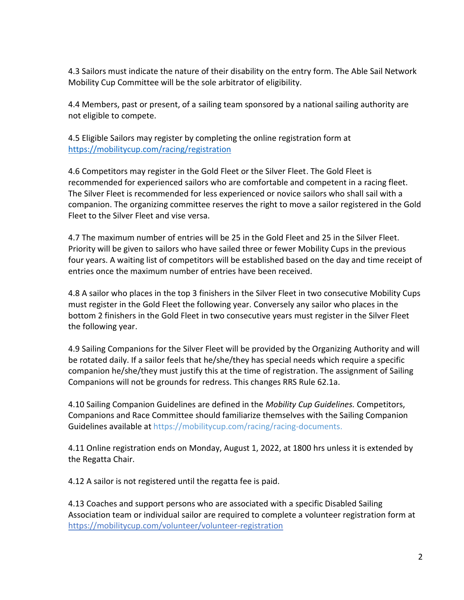4.3 Sailors must indicate the nature of their disability on the entry form. The Able Sail Network Mobility Cup Committee will be the sole arbitrator of eligibility.

4.4 Members, past or present, of a sailing team sponsored by a national sailing authority are not eligible to compete.

4.5 Eligible Sailors may register by completing the online registration form at <https://mobilitycup.com/racing/registration>

4.6 Competitors may register in the Gold Fleet or the Silver Fleet. The Gold Fleet is recommended for experienced sailors who are comfortable and competent in a racing fleet. The Silver Fleet is recommended for less experienced or novice sailors who shall sail with a companion. The organizing committee reserves the right to move a sailor registered in the Gold Fleet to the Silver Fleet and vise versa.

4.7 The maximum number of entries will be 25 in the Gold Fleet and 25 in the Silver Fleet. Priority will be given to sailors who have sailed three or fewer Mobility Cups in the previous four years. A waiting list of competitors will be established based on the day and time receipt of entries once the maximum number of entries have been received.

4.8 A sailor who places in the top 3 finishers in the Silver Fleet in two consecutive Mobility Cups must register in the Gold Fleet the following year. Conversely any sailor who places in the bottom 2 finishers in the Gold Fleet in two consecutive years must register in the Silver Fleet the following year.

4.9 Sailing Companions for the Silver Fleet will be provided by the Organizing Authority and will be rotated daily. If a sailor feels that he/she/they has special needs which require a specific companion he/she/they must justify this at the time of registration. The assignment of Sailing Companions will not be grounds for redress. This changes RRS Rule 62.1a.

4.10 Sailing Companion Guidelines are defined in the *Mobility Cup Guidelines.* Competitors, Companions and Race Committee should familiarize themselves with the Sailing Companion Guidelines available at https://mobilitycup.com/racing/racing-documents.

4.11 Online registration ends on Monday, August 1, 2022, at 1800 hrs unless it is extended by the Regatta Chair.

4.12 A sailor is not registered until the regatta fee is paid.

4.13 Coaches and support persons who are associated with a specific Disabled Sailing Association team or individual sailor are required to complete a volunteer registration form at https://mobilitycup.com/volunteer/volunteer-registration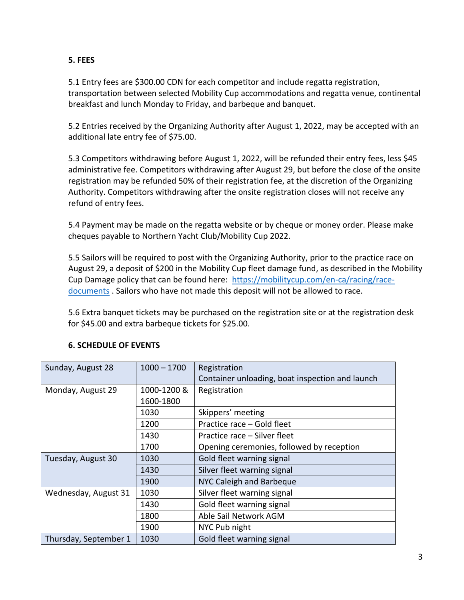### **5. FEES**

5.1 Entry fees are \$300.00 CDN for each competitor and include regatta registration, transportation between selected Mobility Cup accommodations and regatta venue, continental breakfast and lunch Monday to Friday, and barbeque and banquet.

5.2 Entries received by the Organizing Authority after August 1, 2022, may be accepted with an additional late entry fee of \$75.00.

5.3 Competitors withdrawing before August 1, 2022, will be refunded their entry fees, less \$45 administrative fee. Competitors withdrawing after August 29, but before the close of the onsite registration may be refunded 50% of their registration fee, at the discretion of the Organizing Authority. Competitors withdrawing after the onsite registration closes will not receive any refund of entry fees.

5.4 Payment may be made on the regatta website or by cheque or money order. Please make cheques payable to Northern Yacht Club/Mobility Cup 2022.

5.5 Sailors will be required to post with the Organizing Authority, prior to the practice race on August 29, a deposit of \$200 in the Mobility Cup fleet damage fund, as described in the Mobility Cup Damage policy that can be found here: [https://mobilitycup.com/en-ca/racing/race](https://mobilitycup.com/en-ca/racing/race-documents)[documents](https://mobilitycup.com/en-ca/racing/race-documents). Sailors who have not made this deposit will not be allowed to race.

5.6 Extra banquet tickets may be purchased on the registration site or at the registration desk for \$45.00 and extra barbeque tickets for \$25.00.

| Sunday, August 28     | $1000 - 1700$ | Registration                                    |
|-----------------------|---------------|-------------------------------------------------|
|                       |               | Container unloading, boat inspection and launch |
| Monday, August 29     | 1000-1200 &   | Registration                                    |
|                       | 1600-1800     |                                                 |
|                       | 1030          | Skippers' meeting                               |
|                       | 1200          | Practice race – Gold fleet                      |
|                       | 1430          | Practice race - Silver fleet                    |
|                       | 1700          | Opening ceremonies, followed by reception       |
| Tuesday, August 30    | 1030          | Gold fleet warning signal                       |
|                       | 1430          | Silver fleet warning signal                     |
|                       | 1900          | NYC Caleigh and Barbeque                        |
| Wednesday, August 31  | 1030          | Silver fleet warning signal                     |
|                       | 1430          | Gold fleet warning signal                       |
|                       | 1800          | Able Sail Network AGM                           |
|                       | 1900          | NYC Pub night                                   |
| Thursday, September 1 | 1030          | Gold fleet warning signal                       |

## **6. SCHEDULE OF EVENTS**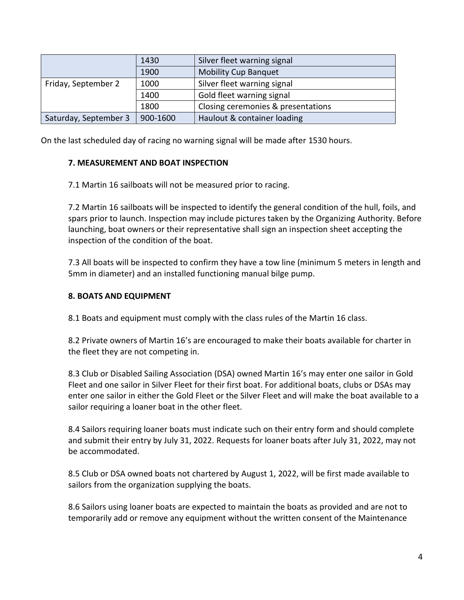|                       | 1430     | Silver fleet warning signal        |
|-----------------------|----------|------------------------------------|
|                       | 1900     | <b>Mobility Cup Banquet</b>        |
| Friday, September 2   | 1000     | Silver fleet warning signal        |
|                       | 1400     | Gold fleet warning signal          |
|                       | 1800     | Closing ceremonies & presentations |
| Saturday, September 3 | 900-1600 | Haulout & container loading        |

On the last scheduled day of racing no warning signal will be made after 1530 hours.

### **7. MEASUREMENT AND BOAT INSPECTION**

7.1 Martin 16 sailboats will not be measured prior to racing.

7.2 Martin 16 sailboats will be inspected to identify the general condition of the hull, foils, and spars prior to launch. Inspection may include pictures taken by the Organizing Authority. Before launching, boat owners or their representative shall sign an inspection sheet accepting the inspection of the condition of the boat.

7.3 All boats will be inspected to confirm they have a tow line (minimum 5 meters in length and 5mm in diameter) and an installed functioning manual bilge pump.

### **8. BOATS AND EQUIPMENT**

8.1 Boats and equipment must comply with the class rules of the Martin 16 class.

8.2 Private owners of Martin 16's are encouraged to make their boats available for charter in the fleet they are not competing in.

8.3 Club or Disabled Sailing Association (DSA) owned Martin 16's may enter one sailor in Gold Fleet and one sailor in Silver Fleet for their first boat. For additional boats, clubs or DSAs may enter one sailor in either the Gold Fleet or the Silver Fleet and will make the boat available to a sailor requiring a loaner boat in the other fleet.

8.4 Sailors requiring loaner boats must indicate such on their entry form and should complete and submit their entry by July 31, 2022. Requests for loaner boats after July 31, 2022, may not be accommodated.

8.5 Club or DSA owned boats not chartered by August 1, 2022, will be first made available to sailors from the organization supplying the boats.

8.6 Sailors using loaner boats are expected to maintain the boats as provided and are not to temporarily add or remove any equipment without the written consent of the Maintenance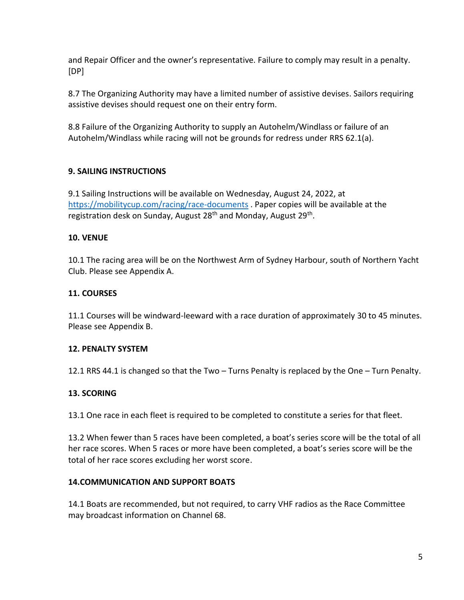and Repair Officer and the owner's representative. Failure to comply may result in a penalty. [DP]

8.7 The Organizing Authority may have a limited number of assistive devises. Sailors requiring assistive devises should request one on their entry form.

8.8 Failure of the Organizing Authority to supply an Autohelm/Windlass or failure of an Autohelm/Windlass while racing will not be grounds for redress under RRS 62.1(a).

### **9. SAILING INSTRUCTIONS**

9.1 Sailing Instructions will be available on Wednesday, August 24, 2022, at <https://mobilitycup.com/racing/race-documents> . Paper copies will be available at the registration desk on Sunday, August 28<sup>th</sup> and Monday, August 29<sup>th</sup>.

### **10. VENUE**

10.1 The racing area will be on the Northwest Arm of Sydney Harbour, south of Northern Yacht Club. Please see Appendix A.

## **11. COURSES**

11.1 Courses will be windward-leeward with a race duration of approximately 30 to 45 minutes. Please see Appendix B.

### **12. PENALTY SYSTEM**

12.1 RRS 44.1 is changed so that the Two – Turns Penalty is replaced by the One – Turn Penalty.

### **13. SCORING**

13.1 One race in each fleet is required to be completed to constitute a series for that fleet.

13.2 When fewer than 5 races have been completed, a boat's series score will be the total of all her race scores. When 5 races or more have been completed, a boat's series score will be the total of her race scores excluding her worst score.

### **14.COMMUNICATION AND SUPPORT BOATS**

14.1 Boats are recommended, but not required, to carry VHF radios as the Race Committee may broadcast information on Channel 68.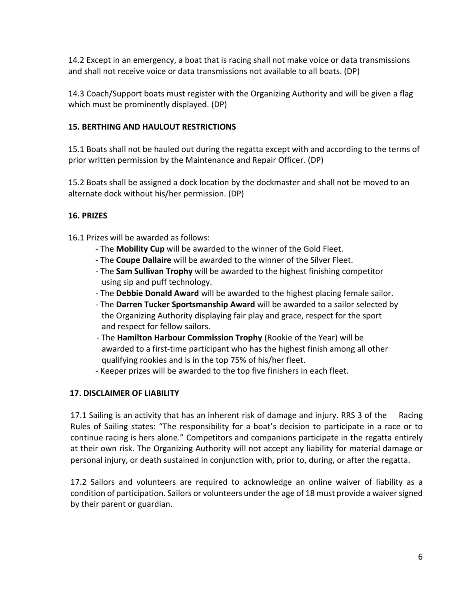14.2 Except in an emergency, a boat that is racing shall not make voice or data transmissions and shall not receive voice or data transmissions not available to all boats. (DP)

14.3 Coach/Support boats must register with the Organizing Authority and will be given a flag which must be prominently displayed. (DP)

## **15. BERTHING AND HAULOUT RESTRICTIONS**

15.1 Boats shall not be hauled out during the regatta except with and according to the terms of prior written permission by the Maintenance and Repair Officer. (DP)

15.2 Boats shall be assigned a dock location by the dockmaster and shall not be moved to an alternate dock without his/her permission. (DP)

### **16. PRIZES**

16.1 Prizes will be awarded as follows:

- The **Mobility Cup** will be awarded to the winner of the Gold Fleet.
- The **Coupe Dallaire** will be awarded to the winner of the Silver Fleet.
- The **Sam Sullivan Trophy** will be awarded to the highest finishing competitor using sip and puff technology.
- The **Debbie Donald Award** will be awarded to the highest placing female sailor.
- The **Darren Tucker Sportsmanship Award** will be awarded to a sailor selected by the Organizing Authority displaying fair play and grace, respect for the sport and respect for fellow sailors.
- The **Hamilton Harbour Commission Trophy** (Rookie of the Year) will be awarded to a first-time participant who has the highest finish among all other qualifying rookies and is in the top 75% of his/her fleet.
- Keeper prizes will be awarded to the top five finishers in each fleet.

## **17. DISCLAIMER OF LIABILITY**

17.1 Sailing is an activity that has an inherent risk of damage and injury. RRS 3 of the Racing Rules of Sailing states: "The responsibility for a boat's decision to participate in a race or to continue racing is hers alone." Competitors and companions participate in the regatta entirely at their own risk. The Organizing Authority will not accept any liability for material damage or personal injury, or death sustained in conjunction with, prior to, during, or after the regatta.

17.2 Sailors and volunteers are required to acknowledge an online waiver of liability as a condition of participation. Sailors or volunteers under the age of 18 must provide a waiver signed by their parent or guardian.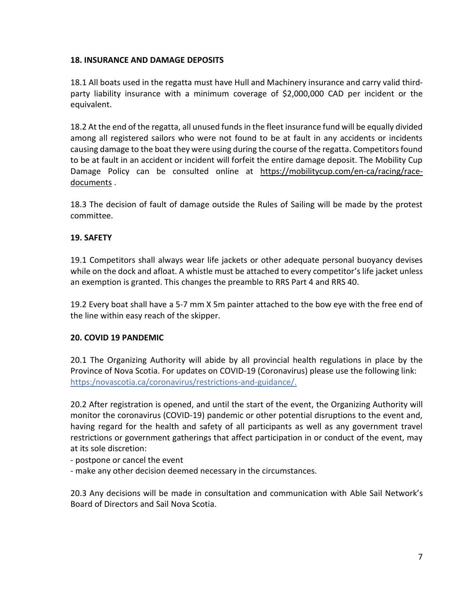### **18. INSURANCE AND DAMAGE DEPOSITS**

18.1 All boats used in the regatta must have Hull and Machinery insurance and carry valid thirdparty liability insurance with a minimum coverage of \$2,000,000 CAD per incident or the equivalent.

18.2 At the end of the regatta, all unused funds in the fleet insurance fund will be equally divided among all registered sailors who were not found to be at fault in any accidents or incidents causing damage to the boat they were using during the course of the regatta. Competitors found to be at fault in an accident or incident will forfeit the entire damage deposit. The Mobility Cup Damage Policy can be consulted online at [https://mobilitycup.com/en-ca/racing/race](https://mobilitycup.com/en-ca/racing/race-documents)[documents](https://mobilitycup.com/en-ca/racing/race-documents) .

18.3 The decision of fault of damage outside the Rules of Sailing will be made by the protest committee.

#### **19. SAFETY**

19.1 Competitors shall always wear life jackets or other adequate personal buoyancy devises while on the dock and afloat. A whistle must be attached to every competitor's life jacket unless an exemption is granted. This changes the preamble to RRS Part 4 and RRS 40.

19.2 Every boat shall have a 5-7 mm X 5m painter attached to the bow eye with the free end of the line within easy reach of the skipper.

### **20. COVID 19 PANDEMIC**

20.1 The Organizing Authority will abide by all provincial health regulations in place by the Province of Nova Scotia. For updates on COVID-19 (Coronavirus) please use the following link: https:/novascotia.ca/coronavirus/restrictions-and-guidance/.

20.2 After registration is opened, and until the start of the event, the Organizing Authority will monitor the coronavirus (COVID-19) pandemic or other potential disruptions to the event and, having regard for the health and safety of all participants as well as any government travel restrictions or government gatherings that affect participation in or conduct of the event, may at its sole discretion:

- postpone or cancel the event
- make any other decision deemed necessary in the circumstances.

20.3 Any decisions will be made in consultation and communication with Able Sail Network's Board of Directors and Sail Nova Scotia.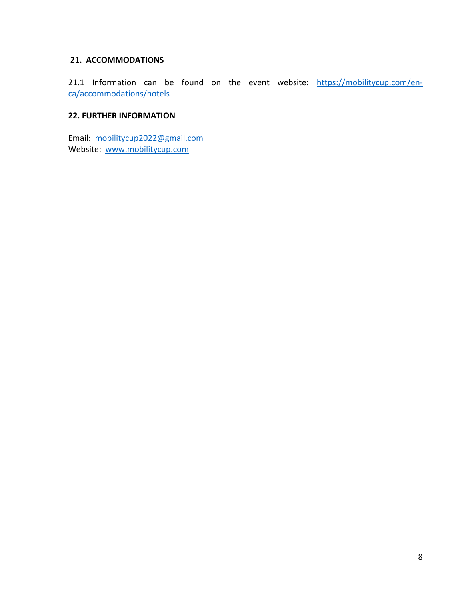#### **21. ACCOMMODATIONS**

21.1 Information can be found on the event website: [https://mobilitycup.com/en](https://mobilitycup.com/en-ca/accommodations/hotels)[ca/accommodations/hotels](https://mobilitycup.com/en-ca/accommodations/hotels)

#### **22. FURTHER INFORMATION**

Email: [mobilitycup2022@gmail.com](mailto:mobilitycup2022@gmail.com) Website: [www.mobilitycup.com](http://www.mobilitycup.com/)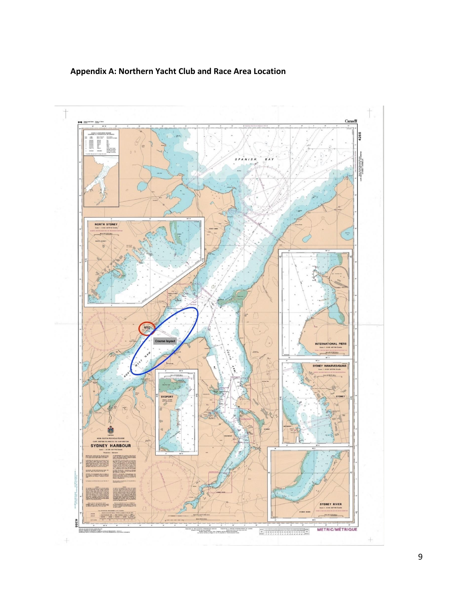## **Appendix A: Northern Yacht Club and Race Area Location**